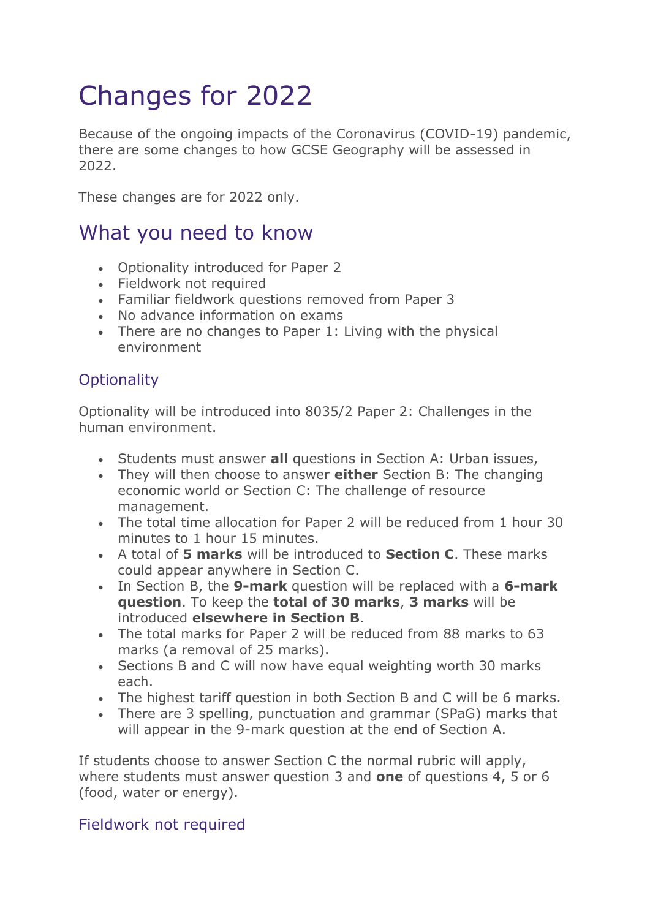# Changes for 2022

Because of the ongoing impacts of the Coronavirus (COVID-19) pandemic, there are some changes to how GCSE Geography will be assessed in 2022.

These changes are for 2022 only.

## What you need to know

- Optionality introduced for Paper 2
- Fieldwork not required
- Familiar fieldwork questions removed from Paper 3
- No advance information on exams
- There are no changes to Paper 1: Living with the physical environment

## **Optionality**

Optionality will be introduced into 8035/2 Paper 2: Challenges in the human environment.

- Students must answer **all** questions in Section A: Urban issues,
- They will then choose to answer **either** Section B: The changing economic world or Section C: The challenge of resource management.
- The total time allocation for Paper 2 will be reduced from 1 hour 30 minutes to 1 hour 15 minutes.
- A total of **5 marks** will be introduced to **Section C**. These marks could appear anywhere in Section C.
- In Section B, the **9-mark** question will be replaced with a **6-mark question**. To keep the **total of 30 marks**, **3 marks** will be introduced **elsewhere in Section B**.
- The total marks for Paper 2 will be reduced from 88 marks to 63 marks (a removal of 25 marks).
- Sections B and C will now have equal weighting worth 30 marks each.
- The highest tariff question in both Section B and C will be 6 marks.
- There are 3 spelling, punctuation and grammar (SPaG) marks that will appear in the 9-mark question at the end of Section A.

If students choose to answer Section C the normal rubric will apply, where students must answer question 3 and **one** of questions 4, 5 or 6 (food, water or energy).

## Fieldwork not required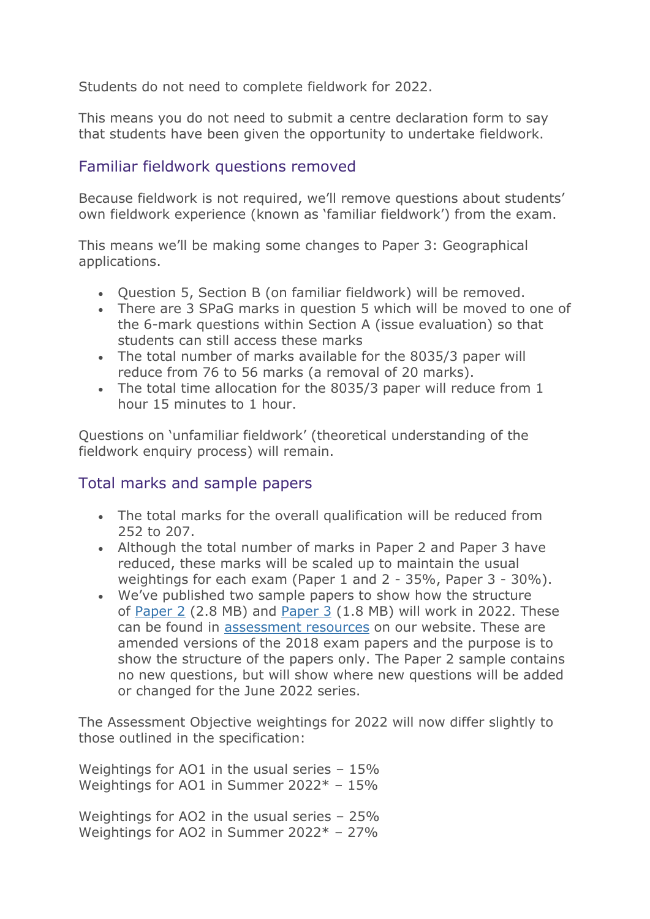Students do not need to complete fieldwork for 2022.

This means you do not need to submit a centre declaration form to say that students have been given the opportunity to undertake fieldwork.

#### Familiar fieldwork questions removed

Because fieldwork is not required, we'll remove questions about students' own fieldwork experience (known as 'familiar fieldwork') from the exam.

This means we'll be making some changes to Paper 3: Geographical applications.

- Question 5, Section B (on familiar fieldwork) will be removed.
- There are 3 SPaG marks in question 5 which will be moved to one of the 6-mark questions within Section A (issue evaluation) so that students can still access these marks
- The total number of marks available for the 8035/3 paper will reduce from 76 to 56 marks (a removal of 20 marks).
- The total time allocation for the 8035/3 paper will reduce from 1 hour 15 minutes to 1 hour.

Questions on 'unfamiliar fieldwork' (theoretical understanding of the fieldwork enquiry process) will remain.

## Total marks and sample papers

- The total marks for the overall qualification will be reduced from 252 to 207.
- Although the total number of marks in Paper 2 and Paper 3 have reduced, these marks will be scaled up to maintain the usual weightings for each exam (Paper 1 and 2 - 35%, Paper 3 - 30%).
- We've published two sample papers to show how the structure of [Paper 2](https://filestore.aqa.org.uk/resources/geography/AQA-80352-SQP-SS-22.PDF) (2.8 MB) and [Paper 3](https://filestore.aqa.org.uk/resources/geography/AQA-80353-SQP-SS-22.PDF) (1.8 MB) will work in 2022. These can be found in [assessment resources](https://www.aqa.org.uk/subjects/geography/gcse/geography-8035/assessment-resources?f.Exam+series%7CW=Sample+set+%282022+exams+only%29) on our website. These are amended versions of the 2018 exam papers and the purpose is to show the structure of the papers only. The Paper 2 sample contains no new questions, but will show where new questions will be added or changed for the June 2022 series.

The Assessment Objective weightings for 2022 will now differ slightly to those outlined in the specification:

Weightings for AO1 in the usual series - 15% Weightings for AO1 in Summer 2022\* – 15%

Weightings for AO2 in the usual series - 25% Weightings for AO2 in Summer 2022\* – 27%